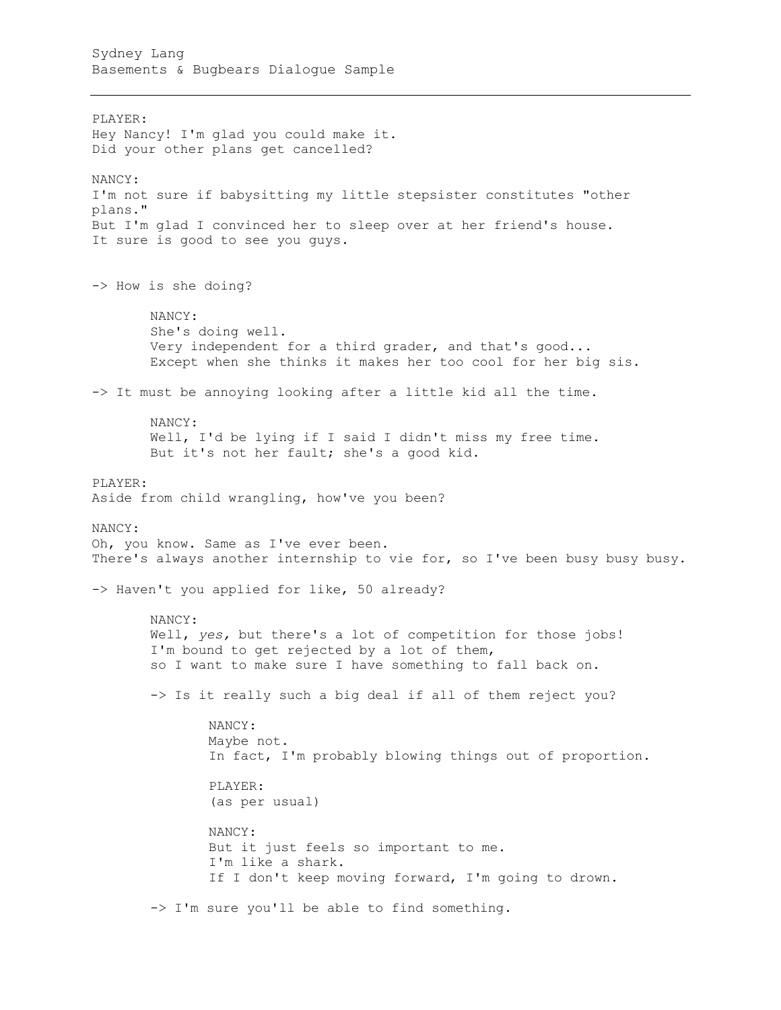PLAYER: Hey Nancy! I'm glad you could make it. Did your other plans get cancelled? NANCY: I'm not sure if babysitting my little stepsister constitutes "other plans." But I'm glad I convinced her to sleep over at her friend's house. It sure is good to see you guys. -> How is she doing? NANCY: She's doing well. Very independent for a third grader, and that's good... Except when she thinks it makes her too cool for her big sis. -> It must be annoying looking after a little kid all the time. NANCY: Well, I'd be lying if I said I didn't miss my free time. But it's not her fault; she's a good kid. PLAYER: Aside from child wrangling, how've you been? NANCY: Oh, you know. Same as I've ever been. There's always another internship to vie for, so I've been busy busy busy. -> Haven't you applied for like, 50 already? NANCY: Well, *yes,* but there's a lot of competition for those jobs! I'm bound to get rejected by a lot of them, so I want to make sure I have something to fall back on. -> Is it really such a big deal if all of them reject you? NANCY: Maybe not. In fact, I'm probably blowing things out of proportion. PLAYER: (as per usual) NANCY: But it just feels so important to me. I'm like a shark. If I don't keep moving forward, I'm going to drown. -> I'm sure you'll be able to find something.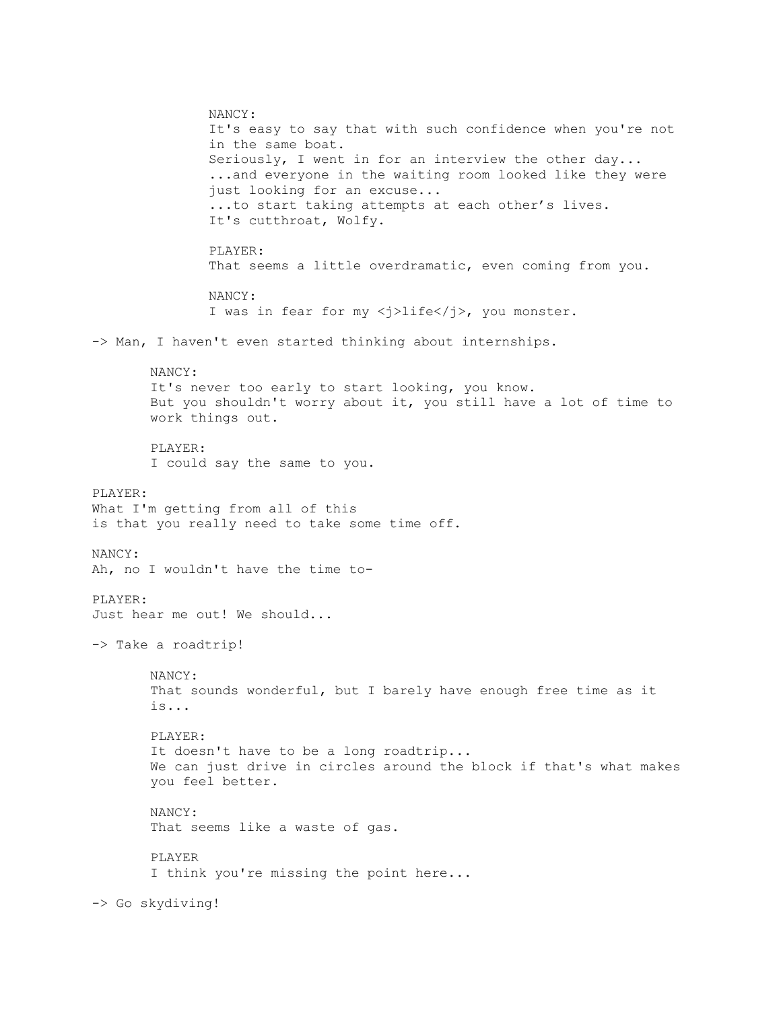NANCY: It's easy to say that with such confidence when you're not in the same boat. Seriously, I went in for an interview the other day... ...and everyone in the waiting room looked like they were just looking for an excuse... ...to start taking attempts at each other's lives. It's cutthroat, Wolfy. PLAYER: That seems a little overdramatic, even coming from you. NANCY: I was in fear for my <j>life</j>, you monster. -> Man, I haven't even started thinking about internships. NANCY: It's never too early to start looking, you know. But you shouldn't worry about it, you still have a lot of time to work things out. PLAYER: I could say the same to you. PLAYER: What I'm getting from all of this is that you really need to take some time off. NANCY: Ah, no I wouldn't have the time to-PLAYER: Just hear me out! We should... -> Take a roadtrip! NANCY: That sounds wonderful, but I barely have enough free time as it is... PLAYER: It doesn't have to be a long roadtrip... We can just drive in circles around the block if that's what makes you feel better. NANCY: That seems like a waste of gas. PLAYER I think you're missing the point here... -> Go skydiving!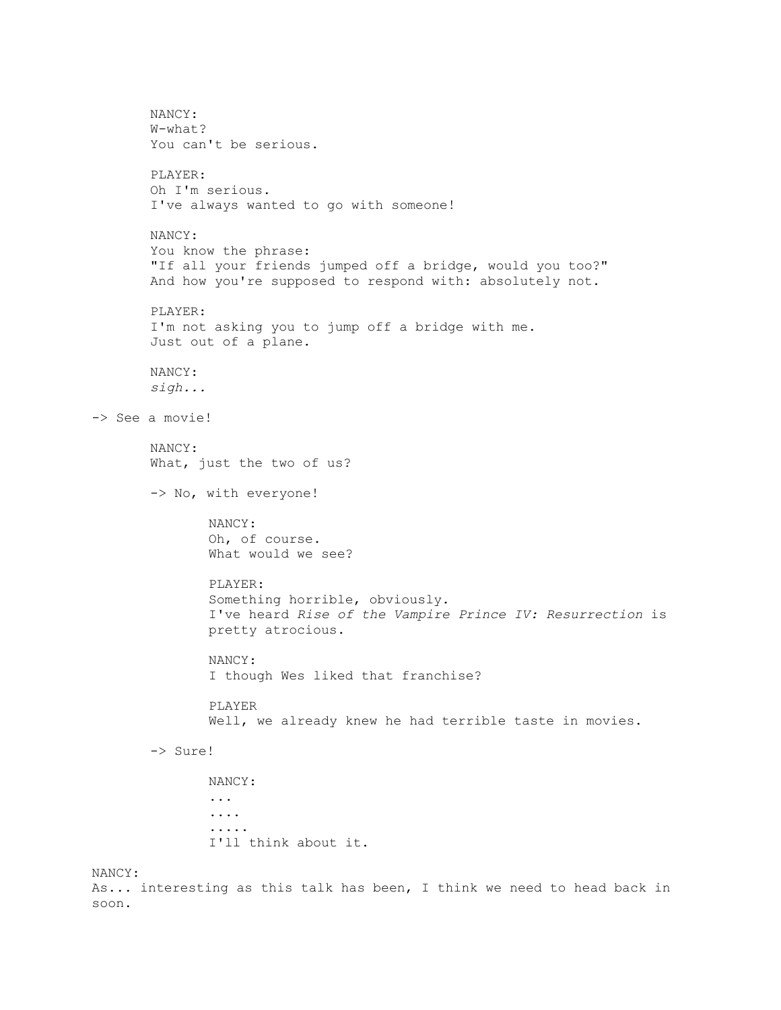```
NANCY:
       W-what?
       You can't be serious.
       PLAYER:
       Oh I'm serious.
       I've always wanted to go with someone!
       NANCY:
       You know the phrase:
       "If all your friends jumped off a bridge, would you too?"
       And how you're supposed to respond with: absolutely not.
       PLAYER:
       I'm not asking you to jump off a bridge with me.
       Just out of a plane.
       NANCY:
       sigh...
-> See a movie!
       NANCY:
       What, just the two of us?
       -> No, with everyone!
              NANCY:
               Oh, of course.
               What would we see?
               PLAYER:
               Something horrible, obviously.
               I've heard Rise of the Vampire Prince IV: Resurrection is 
              pretty atrocious.
              NANCY:
               I though Wes liked that franchise?
               PLAYER
               Well, we already knew he had terrible taste in movies.
       -> Sure!
              NANCY:
               ...
               ....
               .....
               I'll think about it.
NANCY:
```
As... interesting as this talk has been, I think we need to head back in soon.